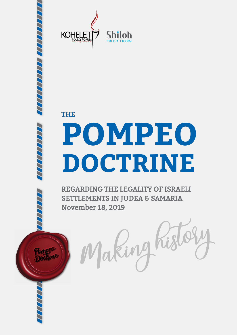

THE

 Pompeo **Doctrine** 

# **POMPEO DOCTRINE**

REGARDING THE LEGALITY OF ISRAELI SETTLEMENTS IN JUDEA & SAMARIA November 18, 2019

nking hist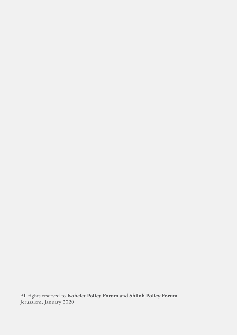All rights reserved to **Kohelet Policy Forum** and **Shiloh Policy Forum** Jerusalem, January 2020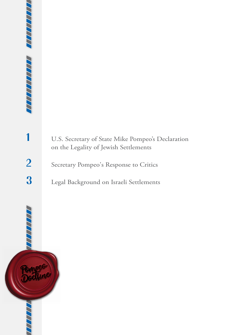**1** U.S. Secretary of State Mike Pompeo's Declaration on the Legality of Jewish Settlements

2 Secretary Pompeo's Response to Critics

**3** Legal Background on Israeli Settlements

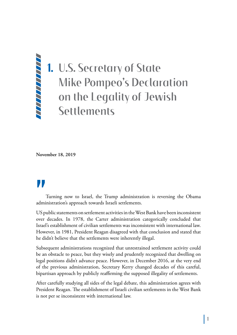## **1.** U.S. Secretary of State Mike Pompeo's Declaration on the Legality of Jewish Settlements

**November 18, 2019**

**"** administration's approach towards Israeli settlements. Turning now to Israel, the Trump administration is reversing the Obama

US public statements on settlement activities in the West Bank have been inconsistent over decades. In 1978, the Carter administration categorically concluded that Israel's establishment of civilian settlements was inconsistent with international law. However, in 1981, President Reagan disagreed with that conclusion and stated that he didn't believe that the settlements were inherently illegal.

Subsequent administrations recognized that unrestrained settlement activity could be an obstacle to peace, but they wisely and prudently recognized that dwelling on legal positions didn't advance peace. However, in December 2016, at the very end of the previous administration, Secretary Kerry changed decades of this careful, bipartisan approach by publicly reaffirming the supposed illegality of settlements.

After carefully studying all sides of the legal debate, this administration agrees with President Reagan. The establishment of Israeli civilian settlements in the West Bank is not per se inconsistent with international law.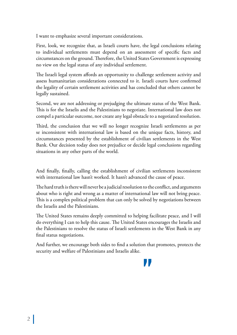I want to emphasize several important considerations.

First, look, we recognize that, as Israeli courts have, the legal conclusions relating to individual settlements must depend on an assessment of specific facts and circumstances on the ground. Therefore, the United States Government is expressing no view on the legal status of any individual settlement.

The Israeli legal system affords an opportunity to challenge settlement activity and assess humanitarian considerations connected to it. Israeli courts have confirmed the legality of certain settlement activities and has concluded that others cannot be legally sustained.

Second, we are not addressing or prejudging the ultimate status of the West Bank. This is for the Israelis and the Palestinians to negotiate. International law does not compel a particular outcome, nor create any legal obstacle to a negotiated resolution.

Third, the conclusion that we will no longer recognize Israeli settlements as per se inconsistent with international law is based on the unique facts, history, and circumstances presented by the establishment of civilian settlements in the West Bank. Our decision today does not prejudice or decide legal conclusions regarding situations in any other parts of the world.

And finally, finally, calling the establishment of civilian settlements inconsistent with international law hasn't worked. It hasn't advanced the cause of peace.

The hard truth is there will never be a judicial resolution to the conflict, and arguments about who is right and wrong as a matter of international law will not bring peace. This is a complex political problem that can only be solved by negotiations between the Israelis and the Palestinians.

The United States remains deeply committed to helping facilitate peace, and I will do everything I can to help this cause. The United States encourages the Israelis and the Palestinians to resolve the status of Israeli settlements in the West Bank in any final status negotiations.

And further, we encourage both sides to find a solution that promotes, protects the security and welfare of Palestinians and Israelis alike.

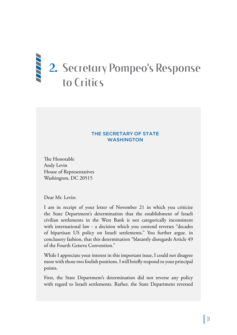## **2.** Secretary Pompeo's Response to Critics

#### THE SECRETARY OF STATE WASHINGTON

The Honorable Andy Levin House of Representatives Washington, DC 20515

Dear Mr. Levin:

I am in receipt of your letter of November 21 in which you criticize the State Department's determination that the establishment of Israeli civilian settlements in the West Bank is not categorically inconsistent with international law - a decision which you contend reverses "decades of bipartisan US policy on Israeli settlements." You further argue. in conclusory fashion, that this determination "blatantly disregards Article 49 of the Fourth Geneva Convention."

While I appreciate your interest in this important issue, I could not disagree more with those two foolish positions. I will briefly respond to your principal points.

First, the State Department's determination did not reverse any policy with regard to Israeli settlements. Rather, the State Department reversed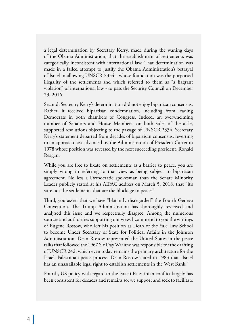a legal determination by Secretary Kerry, made during the waning days of the Obama Administration, that the establishment of settlements was categorically inconsistent with international law. That determination was made in a failed attempt to justify the Obama Administration's betrayal of Israel in allowing UNSCR 2334 - whose foundation was the purported illegality of the settlements and which referred to them as "a flagrant violation" of international law - to pass the Security Council on December 23, 2016.

Second, Secretary Kerry's determination did not enjoy bipartisan consensus. Rather, it received bipartisan condemnation, including from leading Democrats in both chambers of Congress. Indeed, an overwhelming number of Senators and House Members, on both sides of the aisle, supported resolutions objecting to the passage of UNSCR 2334. Secretary Kerry's statement departed from decades of bipartisan consensus, reverting to an approach last advanced by the Administration of President Carter in 1978 whose position was reversed by the next succeeding president, Ronald Reagan.

While you are free to fixate on settlements as a barrier to peace. you are simply wrong in referring to that view as being subject to bipartisan agreement. No less a Democratic spokesman than the Senate Minority Leader publicly stated at his AIPAC address on March 5, 2018, that "it's sure not the settlements that are the blockage to peace."

Third, you assert that we have "blatantly disregarded" the Fourth Geneva Convention. The Trump Administration has thoroughly reviewed and analyzed this issue and we respectfully disagree. Among the numerous sources and authorities supporting our view, I commend to you the writings of Eugene Rostow, who left his position as Dean of the Yale Law School to become Under Secretary of State for Political Affairs in the Johnson Administration. Dean Rostow represented the United States in the peace talks that followed the 1967 Six Day War and was responsible for the drafting of UNSCR 242, which even today remains the primary architecture for the Israeli-Palestinian peace process. Dean Rostow stated in 1983 that "Israel has an unassailable legal right to establish settlements in the West Bank."

Fourth, US policy with regard to the Israeli-Palestinian conflict largely has been consistent for decades and remains so: we support and seek to facilitate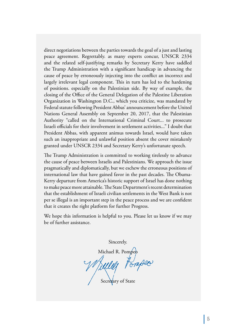direct negotiations between the parties towards the goal of a just and lasting peace agreement. Regrettably. as many experts concur, UNSCR 2334 and the related self-justifying remarks by Secretary Kerry have saddled the Trump Administration with a significant handicap in advancing the cause of peace by erroneously injecting into the conflict an incorrect and largely irrelevant legal component. This in turn has led to the hardening of positions. especially on the Palestinian side. By way of example, the closing of the Office of the General Delegation of the Palestine Liberation Organization in Washington D.C., which you criticize, was mandated by Federal statute following President Abbas' announcement before the United Nations General Assembly on September 20, 2017, that the Palestinian Authority "called on the International Criminal Court... to prosecute Israeli officials for their involvement in settlement activities..." I doubt that President Abbas, with apparent animus towards Israel, would have taken such an inappropriate and unlawful position absent the cover mistakenly granted under UNSCR 2334 and Secretary Kerry's unfortunate speech.

The Trump Administration is committed to working tirelessly to advance the cause of peace between Israelis and Palestinians. We approach the issue pragmatically and diplomatically, but we eschew the erroneous positions of international law that have gained favor in the past decades. The Obama-Kerry departure from America's historic support of Israel has done nothing to make peace more attainable. The State Department's recent determination that the establishment of Israeli civilian settlements in the West Bank is not per se illegal is an important step in the peace process and we are confident that it creates the right platform for further Progress.

We hope this information is helpful to you. Please let us know if we may be of further assistance.

Sincerely.

Michael R. Pomp

Pompeo

Secretary of State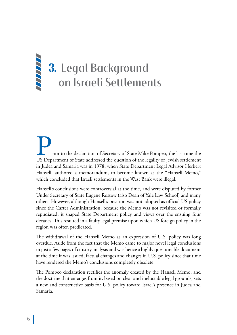## **3.** Legal Background on Israeli Settlements

Prior to the declaration of Secretary of State Mike Pompeo, the last time the US Department of State addressed the question of the legality of Jewish settlement in Judea and Samaria was in 1978, when State Department Legal Advisor Herbert Hansell, authored a memorandum, to become known as the "Hansell Memo," which concluded that Israeli settlements in the West Bank were illegal.

Hansell's conclusions were controversial at the time, and were disputed by former Under Secretary of State Eugene Rostow (also Dean of Yale Law School) and many others. However, although Hansell's position was not adopted as official US policy since the Carter Administration, because the Memo was not revisited or formally repudiated, it shaped State Department policy and views over the ensuing four decades. This resulted in a faulty legal premise upon which US foreign policy in the region was often predicated.

The withdrawal of the Hansell Memo as an expression of U.S. policy was long overdue. Aside from the fact that the Memo came to major novel legal conclusions in just a few pages of cursory analysis and was hence a highly questionable document at the time it was issued, factual changes and changes in U.S. policy since that time have rendered the Memo's conclusions completely obsolete.

The Pompeo declaration rectifies the anomaly created by the Hansell Memo, and the doctrine that emerges from it, based on clear and ineluctable legal grounds, sets a new and constructive basis for U.S. policy toward Israel's presence in Judea and Samaria.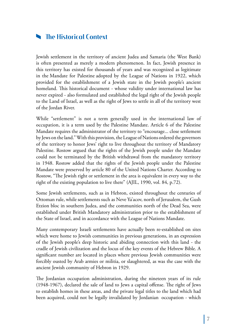### **The Historical Context**

Jewish settlement in the territory of ancient Judea and Samaria (the West Bank) is often presented as merely a modern phenomenon. In fact, Jewish presence in this territory has existed for thousands of years and was recognized as legitimate in the Mandate for Palestine adopted by the League of Nations in 1922, which provided for the establishment of a Jewish state in the Jewish people's ancient homeland. This historical document - whose validity under international law has never expired - also formulated and established the legal right of the Jewish people to the Land of Israel, as well as the right of Jews to settle in all of the territory west of the Jordan River.

While "settlement" is not a term generally used in the international law of occupation, it is a term used by the Palestine Mandate. Article 6 of the Palestine Mandate requires the administrator of the territory to "encourage... close settlement by Jews on the land." With this provision, the League of Nations ordered the governors of the territory to honor Jews' right to live throughout the territory of Mandatory Palestine. Rostow argued that the rights of the Jewish people under the Mandate could not be terminated by the British withdrawal from the mandatory territory in 1948. Rostow added that the rights of the Jewish people under the Palestine Mandate were preserved by article 80 of the United Nations Charter. According to Rostow, "The Jewish right or settlement in the area is equivalent in every way to the right of the existing population to live there" (AJIL, 1990, vol. 84, p.72).

Some Jewish settlements, such as in Hebron, existed throughout the centuries of Ottoman rule, while settlements such as Neve Ya'acov, north of Jerusalem, the Gush Etzion bloc in southern Judea, and the communities north of the Dead Sea, were established under British Mandatory administration prior to the establishment of the State of Israel, and in accordance with the League of Nations Mandate.

Many contemporary Israeli settlements have actually been re-established on sites which were home to Jewish communities in previous generations, in an expression of the Jewish people's deep historic and abiding connection with this land - the cradle of Jewish civilization and the locus of the key events of the Hebrew Bible. A significant number are located in places where previous Jewish communities were forcibly ousted by Arab armies or militia, or slaughtered, as was the case with the ancient Jewish community of Hebron in 1929.

The Jordanian occupation administration, during the nineteen years of its rule (1948-1967), declared the sale of land to Jews a capital offense. The right of Jews to establish homes in these areas, and the private legal titles to the land which had been acquired, could not be legally invalidated by Jordanian occupation - which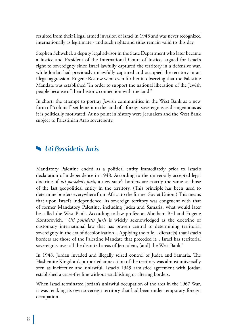resulted from their illegal armed invasion of Israel in 1948 and was never recognized internationally as legitimate - and such rights and titles remain valid to this day.

Stephen Schwebel, a deputy legal advisor in the State Department who later became a Justice and President of the International Court of Justice, argued for Israel's right to sovereignty since Israel lawfully captured the territory in a defensive war, while Jordan had previously unlawfully captured and occupied the territory in an illegal aggression. Eugene Rostow went even further in observing that the Palestine Mandate was established "in order to support the national liberation of the Jewish people because of their historic connection with the land."

In short, the attempt to portray Jewish communities in the West Bank as a new form of "colonial" settlement in the land of a foreign sovereign is as disingenuous as it is politically motivated. At no point in history were Jerusalem and the West Bank subject to Palestinian Arab sovereignty.

#### *Uti Possidetis Juris*

Mandatory Palestine ended as a political entity immediately prior to Israel's declaration of independence in 1948. According to the universally accepted legal doctrine of *uti possidetis juris*, a new state's borders are exactly the same as those of the last geopolitical entity in the territory. (This principle has been used to determine borders everywhere from Africa to the former Soviet Union.) This means that upon Israel's independence, its sovereign territory was congruent with that of former Mandatory Palestine, including Judea and Samaria, what would later be called the West Bank. According to law professors Abraham Bell and Eugene Kontorovich, "*Uti possidetis juris* is widely acknowledged as the doctrine of customary international law that has proven central to determining territorial sovereignty in the era of decolonization... Applying the rule... dictate[s] that Israel's borders are those of the Palestine Mandate that preceded it... Israel has territorial sovereignty over all the disputed areas of Jerusalem, [and] the West Bank."

In 1948, Jordan invaded and illegally seized control of Judea and Samaria. The Hashemite Kingdom's purported annexation of the territory was almost universally seen as ineffective and unlawful. Israel's 1949 armistice agreement with Jordan established a cease-fire line without establishing or altering borders.

When Israel terminated Jordan's unlawful occupation of the area in the 1967 War, it was retaking its own sovereign territory that had been under temporary foreign occupation.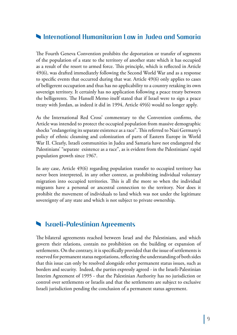#### **International Humanitarian Law in Judea and Samaria**

The Fourth Geneva Convention prohibits the deportation or transfer of segments of the population of a state to the territory of another state which it has occupied as a result of the resort to armed force. This principle, which is reflected in Article 49(6), was drafted immediately following the Second World War and as a response to specific events that occurred during that war. Article 49(6) only applies to cases of belligerent occupation and thus has no applicability to a country retaking its own sovereign territory. It certainly has no application following a peace treaty between the belligerents. The Hansell Memo itself stated that if Israel were to sign a peace treaty with Jordan, as indeed it did in 1994, Article 49(6) would no longer apply.

As the International Red Cross' commentary to the Convention confirms, the Article was intended to protect the occupied population from massive demographic shocks "endangering its separate existence as a race". This referred to Nazi Germany's policy of ethnic cleansing and colonization of parts of Eastern Europe in World War II. Clearly, Israeli communities in Judea and Samaria have not endangered the Palestinians' "separate existence as a race", as is evident from the Palestinians' rapid population growth since 1967.

In any case, Article 49(6) regarding population transfer to occupied territory has never been interpreted, in any other context, as prohibiting individual voluntary migration into occupied territories. This is all the more so when the individual migrants have a personal or ancestral connection to the territory. Nor does it prohibit the movement of individuals to land which was not under the legitimate sovereignty of any state and which is not subject to private ownership.

#### **Israeli-Palestinian Agreements**

The bilateral agreements reached between Israel and the Palestinians, and which govern their relations, contain no prohibition on the building or expansion of settlements. On the contrary, it is specifically provided that the issue of settlements is reserved for permanent status negotiations, reflecting the understanding of both sides that this issue can only be resolved alongside other permanent status issues, such as borders and security. Indeed, the parties expressly agreed - in the Israeli-Palestinian Interim Agreement of 1995 - that the Palestinian Authority has no jurisdiction or control over settlements or Israelis and that the settlements are subject to exclusive Israeli jurisdiction pending the conclusion of a permanent status agreement.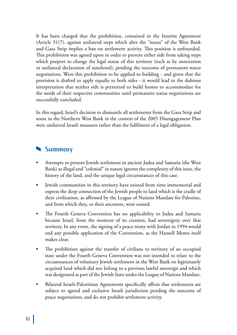It has been charged that the prohibition, contained in the Interim Agreement (Article 31(7), against unilateral steps which alter the "status" of the West Bank and Gaza Strip implies a ban on settlement activity. This position is unfounded. This prohibition was agreed upon in order to prevent either side from taking steps which purport to change the legal status of this territory (such as by annexation or unilateral declaration of statehood), pending the outcome of permanent status negotiations. Were this prohibition to be applied to building - and given that the provision is drafted to apply equally to both sides - it would lead to the dubious interpretation that neither side is permitted to build homes to accommodate for the needs of their respective communities until permanent status negotiations are successfully concluded.

In this regard, Israel's decision to dismantle all settlements from the Gaza Strip and some in the Northern West Bank in the context of the 2005 Disengagement Plan were unilateral Israeli measures rather than the fulfilment of a legal obligation.

#### **Summary**

- Attempts to present Jewish settlement in ancient Judea and Samaria (the West Bank) as illegal and "colonial" in nature ignores the complexity of this issue, the history of the land, and the unique legal circumstances of this case.
- Jewish communities in this territory have existed from time immemorial and express the deep connection of the Jewish people to land which is the cradle of their civilization, as affirmed by the League of Nations Mandate for Palestine, and from which they, or their ancestors, were ousted.
- The Fourth Geneva Convention has no applicability to Judea and Samaria because Israel, from the moment of its creation, had sovereignty over that territory. In any event, the signing of a peace treaty with Jordan in 1994 would end any possible application of the Convention, as the Hansell Memo itself makes clear.
- The prohibition against the transfer of civilians to territory of an occupied state under the Fourth Geneva Convention was not intended to relate to the circumstances of voluntary Jewish settlement in the West Bank on legitimately acquired land which did not belong to a previous lawful sovereign and which was designated as part of the Jewish State under the League of Nations Mandate.
- Bilateral Israeli-Palestinian Agreements specifically affirm that settlements are subject to agreed and exclusive Israeli jurisdiction pending the outcome of peace negotiations, and do not prohibit settlement activity.